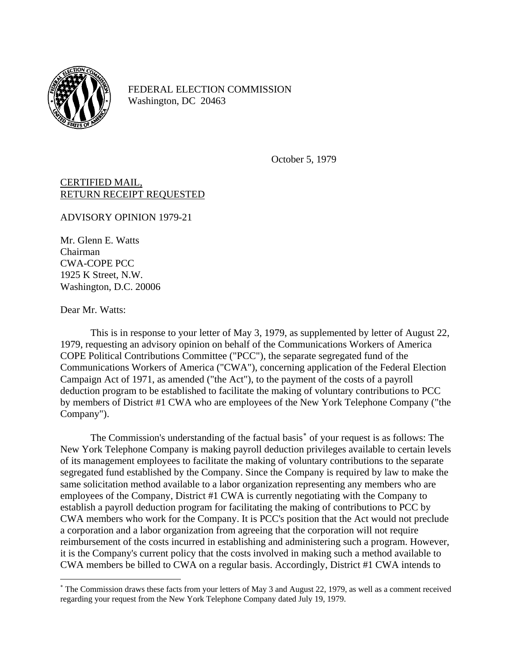

FEDERAL ELECTION COMMISSION Washington, DC 20463

October 5, 1979

CERTIFIED MAIL, RETURN RECEIPT REQUESTED

ADVISORY OPINION 1979-21

Mr. Glenn E. Watts Chairman CWA-COPE PCC 1925 K Street, N.W. Washington, D.C. 20006

Dear Mr. Watts:

 $\overline{a}$ 

This is in response to your letter of May 3, 1979, as supplemented by letter of August 22, 1979, requesting an advisory opinion on behalf of the Communications Workers of America COPE Political Contributions Committee ("PCC"), the separate segregated fund of the Communications Workers of America ("CWA"), concerning application of the Federal Election Campaign Act of 1971, as amended ("the Act"), to the payment of the costs of a payroll deduction program to be established to facilitate the making of voluntary contributions to PCC by members of District #1 CWA who are employees of the New York Telephone Company ("the Company").

The Commission's understanding of the factual basis<sup>\*</sup> of your request is as follows: The New York Telephone Company is making payroll deduction privileges available to certain levels of its management employees to facilitate the making of voluntary contributions to the separate segregated fund established by the Company. Since the Company is required by law to make the same solicitation method available to a labor organization representing any members who are employees of the Company, District #1 CWA is currently negotiating with the Company to establish a payroll deduction program for facilitating the making of contributions to PCC by CWA members who work for the Company. It is PCC's position that the Act would not preclude a corporation and a labor organization from agreeing that the corporation will not require reimbursement of the costs incurred in establishing and administering such a program. However, it is the Company's current policy that the costs involved in making such a method available to CWA members be billed to CWA on a regular basis. Accordingly, District #1 CWA intends to

<span id="page-0-0"></span><sup>∗</sup> The Commission draws these facts from your letters of May 3 and August 22, 1979, as well as a comment received regarding your request from the New York Telephone Company dated July 19, 1979.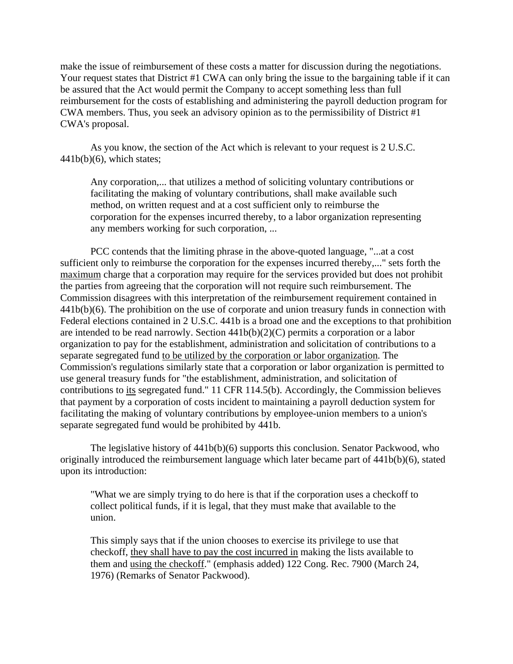make the issue of reimbursement of these costs a matter for discussion during the negotiations. Your request states that District #1 CWA can only bring the issue to the bargaining table if it can be assured that the Act would permit the Company to accept something less than full reimbursement for the costs of establishing and administering the payroll deduction program for CWA members. Thus, you seek an advisory opinion as to the permissibility of District #1 CWA's proposal.

As you know, the section of the Act which is relevant to your request is 2 U.S.C.  $441b(b)(6)$ , which states;

Any corporation,... that utilizes a method of soliciting voluntary contributions or facilitating the making of voluntary contributions, shall make available such method, on written request and at a cost sufficient only to reimburse the corporation for the expenses incurred thereby, to a labor organization representing any members working for such corporation, ...

PCC contends that the limiting phrase in the above-quoted language, "...at a cost sufficient only to reimburse the corporation for the expenses incurred thereby,..." sets forth the maximum charge that a corporation may require for the services provided but does not prohibit the parties from agreeing that the corporation will not require such reimbursement. The Commission disagrees with this interpretation of the reimbursement requirement contained in 441b(b)(6). The prohibition on the use of corporate and union treasury funds in connection with Federal elections contained in 2 U.S.C. 441b is a broad one and the exceptions to that prohibition are intended to be read narrowly. Section 441b(b)(2)(C) permits a corporation or a labor organization to pay for the establishment, administration and solicitation of contributions to a separate segregated fund to be utilized by the corporation or labor organization. The Commission's regulations similarly state that a corporation or labor organization is permitted to use general treasury funds for "the establishment, administration, and solicitation of contributions to its segregated fund." 11 CFR 114.5(b). Accordingly, the Commission believes that payment by a corporation of costs incident to maintaining a payroll deduction system for facilitating the making of voluntary contributions by employee-union members to a union's separate segregated fund would be prohibited by 441b.

The legislative history of 441b(b)(6) supports this conclusion. Senator Packwood, who originally introduced the reimbursement language which later became part of 441b(b)(6), stated upon its introduction:

"What we are simply trying to do here is that if the corporation uses a checkoff to collect political funds, if it is legal, that they must make that available to the union.

This simply says that if the union chooses to exercise its privilege to use that checkoff, they shall have to pay the cost incurred in making the lists available to them and using the checkoff." (emphasis added) 122 Cong. Rec. 7900 (March 24, 1976) (Remarks of Senator Packwood).